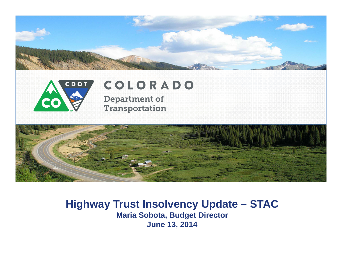



### COLORADO **Department of**

**Transportation** 



#### **Highway Trust Insolvency Update – STAC Maria Sobota, Budget Director June 13, 2014**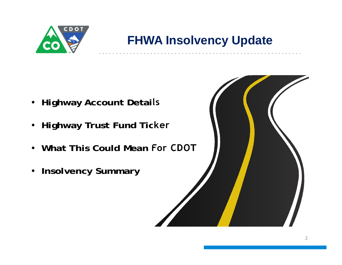

## **FHWA Insolvency Update**

- **Highway Account Details**
- **Highway Trust Fund Ticker**
- **What This Could Mean For CDOT**
- **Insolvency Summary**

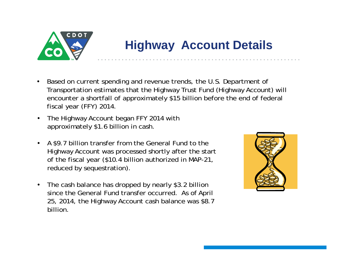

# **Highway Account Details**

- • Based on current spending and revenue trends, the U.S. Department of Transportation estimates that the Highway Trust Fund (Highway Account) will encounter a shortfall of approximately \$15 billion before the end of federal fiscal year (FFY) 2014.
- • The Highway Account began FFY 2014 with approximately \$1.6 billion in cash.
- • A \$9.7 billion transfer from the General Fund to the Highway Account was processed shortly after the start of the fiscal year (\$10.4 billion authorized in MAP-21, reduced by sequestration).
- $\bullet$  The cash balance has dropped by nearly \$3.2 billion since the General Fund transfer occurred. As of April 25, 2014, the Highway Account cash balance was \$8.7 billion.

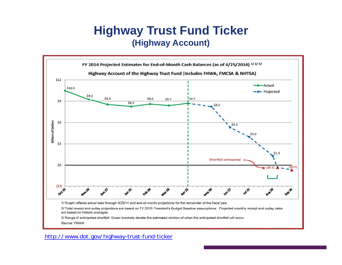#### **Highway Trust Fund Ticker (Highway Account)**



http://www.dot.gov/highway-trust-fund-ticker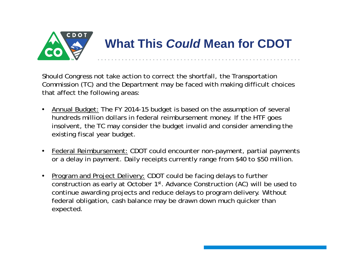

Should Congress not take action to correct the shortfall, the Transportation Commission (TC) and the Department may be faced with making difficult choices that affect the following areas:

- Annual Budget: The FY 2014-15 budget is based on the assumption of several hundreds million dollars in federal reimbursement money. If the HTF goes insolvent, the TC may consider the budget invalid and consider amending the existing fiscal year budget.
- Federal Reimbursement: CDOT could encounter non-payment, partial payments or a delay in payment. Daily receipts currently range from \$40 to \$50 million.
- • Program and Project Delivery: CDOT could be facing delays to further construction as early at October 1st. Advance Construction (AC) will be used to continue awarding projects and reduce delays to program delivery. Without federal obligation, cash balance may be drawn down much quicker than expected.